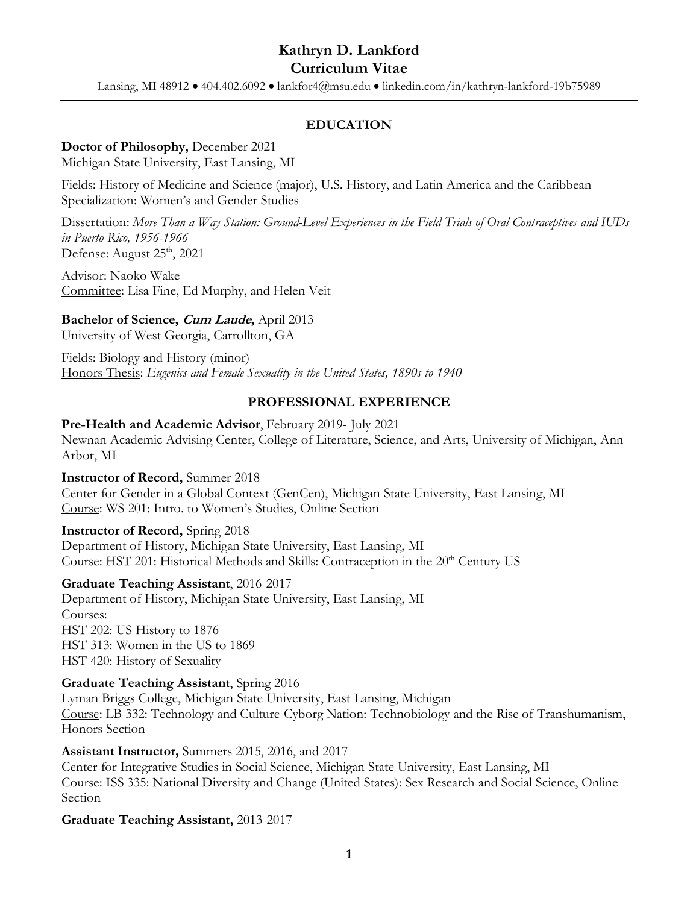Lansing, MI 48912 • 404.402.6092 • lankfor4@msu.edu • linkedin.com/in/kathryn-lankford-19b75989

# **EDUCATION**

#### **Doctor of Philosophy,** December 2021

Michigan State University, East Lansing, MI

Fields: History of Medicine and Science (major), U.S. History, and Latin America and the Caribbean Specialization: Women's and Gender Studies

Dissertation: More Than a Way Station: Ground-Level Experiences in the Field Trials of Oral Contraceptives and IUDs *in Puerto Rico, 1956-1966* Defense: August  $25<sup>th</sup>$ , 2021

Advisor: Naoko Wake Committee: Lisa Fine, Ed Murphy, and Helen Veit

# **Bachelor of Science, Cum Laude,** April 2013

University of West Georgia, Carrollton, GA

Fields: Biology and History (minor) Honors Thesis: *Eugenics and Female Sexuality in the United States, 1890s to 1940*

## **PROFESSIONAL EXPERIENCE**

#### **Pre-Health and Academic Advisor**, February 2019- July 2021

Newnan Academic Advising Center, College of Literature, Science, and Arts, University of Michigan, Ann Arbor, MI

#### **Instructor of Record,** Summer 2018

Center for Gender in a Global Context (GenCen), Michigan State University, East Lansing, MI Course: WS 201: Intro. to Women's Studies, Online Section

#### **Instructor of Record,** Spring 2018

Department of History, Michigan State University, East Lansing, MI Course: HST 201: Historical Methods and Skills: Contraception in the  $20<sup>th</sup>$  Century US

#### **Graduate Teaching Assistant**, 2016-2017

Department of History, Michigan State University, East Lansing, MI Courses: HST 202: US History to 1876 HST 313: Women in the US to 1869 HST 420: History of Sexuality

#### **Graduate Teaching Assistant**, Spring 2016

Lyman Briggs College, Michigan State University, East Lansing, Michigan Course: LB 332: Technology and Culture-Cyborg Nation: Technobiology and the Rise of Transhumanism, Honors Section

#### **Assistant Instructor,** Summers 2015, 2016, and 2017

Center for Integrative Studies in Social Science, Michigan State University, East Lansing, MI Course: ISS 335: National Diversity and Change (United States): Sex Research and Social Science, Online Section

#### **Graduate Teaching Assistant,** 2013-2017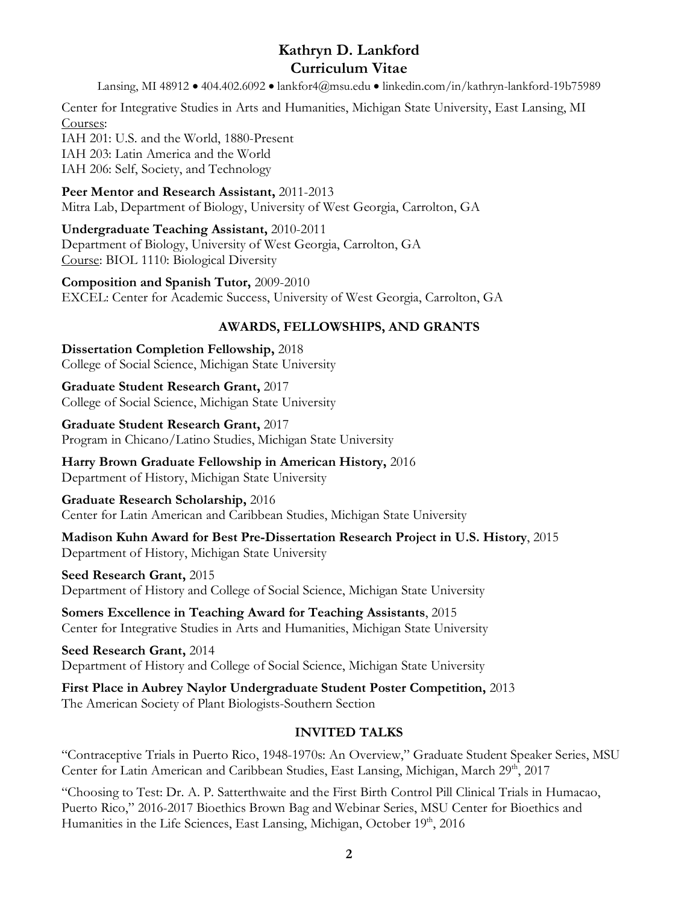Lansing, MI 48912 • 404.402.6092 • lankfor4@msu.edu • linkedin.com/in/kathryn-lankford-19b75989

Center for Integrative Studies in Arts and Humanities, Michigan State University, East Lansing, MI Courses:

IAH 201: U.S. and the World, 1880-Present IAH 203: Latin America and the World IAH 206: Self, Society, and Technology

**Peer Mentor and Research Assistant,** 2011-2013 Mitra Lab, Department of Biology, University of West Georgia, Carrolton, GA

# **Undergraduate Teaching Assistant,** 2010-2011

Department of Biology, University of West Georgia, Carrolton, GA Course: BIOL 1110: Biological Diversity

**Composition and Spanish Tutor,** 2009-2010 EXCEL: Center for Academic Success, University of West Georgia, Carrolton, GA

# **AWARDS, FELLOWSHIPS, AND GRANTS**

**Dissertation Completion Fellowship,** 2018 College of Social Science, Michigan State University

**Graduate Student Research Grant,** 2017 College of Social Science, Michigan State University

**Graduate Student Research Grant,** 2017 Program in Chicano/Latino Studies, Michigan State University

**Harry Brown Graduate Fellowship in American History,** 2016 Department of History, Michigan State University

# **Graduate Research Scholarship,** 2016

Center for Latin American and Caribbean Studies, Michigan State University

**Madison Kuhn Award for Best Pre-Dissertation Research Project in U.S. History**, 2015 Department of History, Michigan State University

# **Seed Research Grant,** 2015

Department of History and College of Social Science, Michigan State University

**Somers Excellence in Teaching Award for Teaching Assistants**, 2015 Center for Integrative Studies in Arts and Humanities, Michigan State University

**Seed Research Grant,** 2014 Department of History and College of Social Science, Michigan State University

**First Place in Aubrey Naylor Undergraduate Student Poster Competition,** 2013 The American Society of Plant Biologists-Southern Section

# **INVITED TALKS**

"Contraceptive Trials in Puerto Rico, 1948-1970s: An Overview," Graduate Student Speaker Series, MSU Center for Latin American and Caribbean Studies, East Lansing, Michigan, March 29<sup>th</sup>, 2017

"Choosing to Test: Dr. A. P. Satterthwaite and the First Birth Control Pill Clinical Trials in Humacao, Puerto Rico," 2016-2017 Bioethics Brown Bag and Webinar Series, MSU Center for Bioethics and Humanities in the Life Sciences, East Lansing, Michigan, October 19<sup>th</sup>, 2016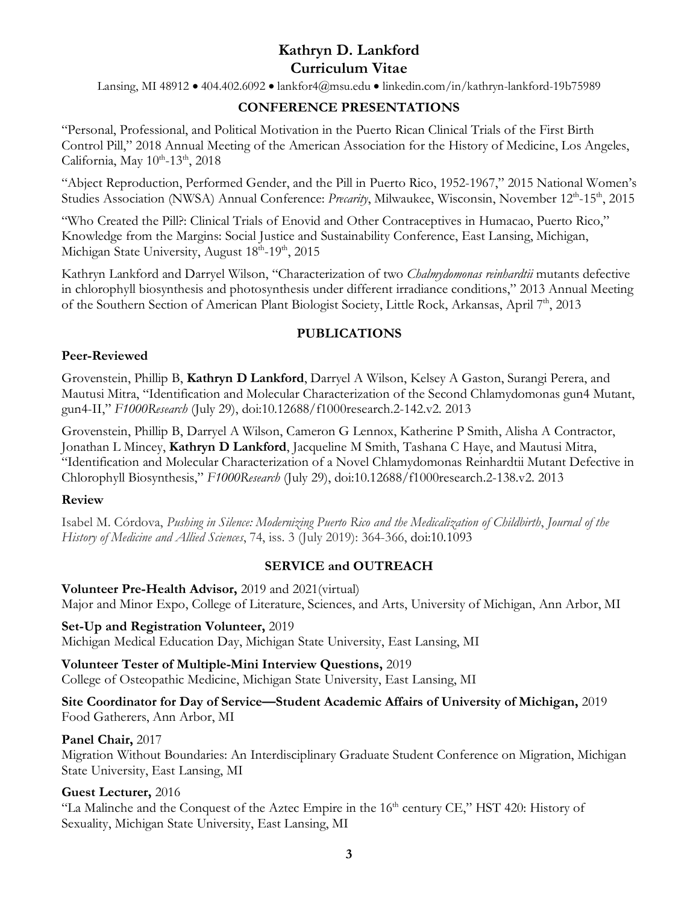Lansing, MI 48912 • 404.402.6092 • lankfor4@msu.edu • linkedin.com/in/kathryn-lankford-19b75989

## **CONFERENCE PRESENTATIONS**

"Personal, Professional, and Political Motivation in the Puerto Rican Clinical Trials of the First Birth Control Pill," 2018 Annual Meeting of the American Association for the History of Medicine, Los Angeles, California, May  $10^{th}$ -13<sup>th</sup>, 2018

"Abject Reproduction, Performed Gender, and the Pill in Puerto Rico, 1952-1967," 2015 National Women's Studies Association (NWSA) Annual Conference: *Precarity*, Milwaukee, Wisconsin, November 12th-15th, 2015

"Who Created the Pill?: Clinical Trials of Enovid and Other Contraceptives in Humacao, Puerto Rico," Knowledge from the Margins: Social Justice and Sustainability Conference, East Lansing, Michigan, Michigan State University, August 18<sup>th</sup>-19<sup>th</sup>, 2015

Kathryn Lankford and Darryel Wilson, "Characterization of two *Chalmydomonas reinhardtii* mutants defective in chlorophyll biosynthesis and photosynthesis under different irradiance conditions," 2013 Annual Meeting of the Southern Section of American Plant Biologist Society, Little Rock, Arkansas, April 7<sup>th</sup>, 2013

## **PUBLICATIONS**

#### **Peer-Reviewed**

Grovenstein, Phillip B, **Kathryn D Lankford**, Darryel A Wilson, Kelsey A Gaston, Surangi Perera, and Mautusi Mitra, "Identification and Molecular Characterization of the Second Chlamydomonas gun4 Mutant, gun4-II," *F1000Research* (July 29), doi:10.12688/f1000research.2-142.v2. 2013

Grovenstein, Phillip B, Darryel A Wilson, Cameron G Lennox, Katherine P Smith, Alisha A Contractor, Jonathan L Mincey, **Kathryn D Lankford**, Jacqueline M Smith, Tashana C Haye, and Mautusi Mitra, "Identification and Molecular Characterization of a Novel Chlamydomonas Reinhardtii Mutant Defective in Chlorophyll Biosynthesis," *F1000Research* (July 29), doi:10.12688/f1000research.2-138.v2. 2013

#### **Review**

Isabel M. Córdova, *Pushing in Silence: Modernizing Puerto Rico and the Medicalization of Childbirth*, *Journal of the History of Medicine and Allied Sciences*, 74, iss. 3 (July 2019): 364-366, doi:10.1093

#### **SERVICE and OUTREACH**

#### **Volunteer Pre-Health Advisor,** 2019 and 2021(virtual)

Major and Minor Expo, College of Literature, Sciences, and Arts, University of Michigan, Ann Arbor, MI

#### **Set-Up and Registration Volunteer,** 2019

Michigan Medical Education Day, Michigan State University, East Lansing, MI

# **Volunteer Tester of Multiple-Mini Interview Questions,** 2019

College of Osteopathic Medicine, Michigan State University, East Lansing, MI

#### **Site Coordinator for Day of Service—Student Academic Affairs of University of Michigan,** 2019 Food Gatherers, Ann Arbor, MI

#### **Panel Chair,** 2017

Migration Without Boundaries: An Interdisciplinary Graduate Student Conference on Migration, Michigan State University, East Lansing, MI

#### **Guest Lecturer,** 2016

"La Malinche and the Conquest of the Aztec Empire in the  $16<sup>th</sup>$  century CE," HST 420: History of Sexuality, Michigan State University, East Lansing, MI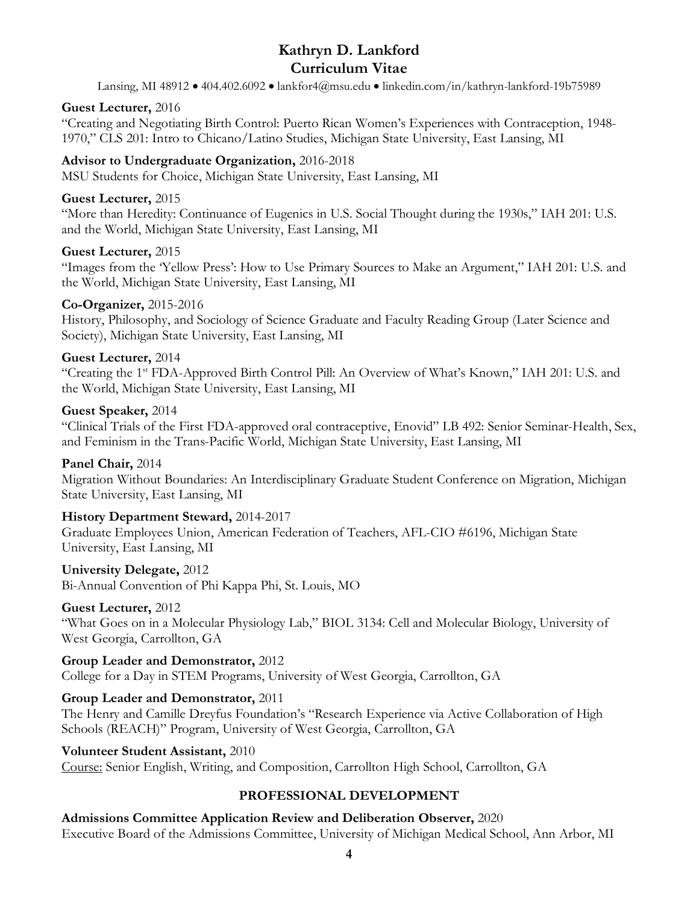Lansing, MI 48912 • 404.402.6092 • lankfor4@msu.edu • linkedin.com/in/kathryn-lankford-19b75989

### **Guest Lecturer,** 2016

"Creating and Negotiating Birth Control: Puerto Rican Women's Experiences with Contraception, 1948- 1970," CLS 201: Intro to Chicano/Latino Studies, Michigan State University, East Lansing, MI

# **Advisor to Undergraduate Organization,** 2016-2018

MSU Students for Choice, Michigan State University, East Lansing, MI

## **Guest Lecturer,** 2015

"More than Heredity: Continuance of Eugenics in U.S. Social Thought during the 1930s," IAH 201: U.S. and the World, Michigan State University, East Lansing, MI

## **Guest Lecturer,** 2015

"Images from the 'Yellow Press': How to Use Primary Sources to Make an Argument," IAH 201: U.S. and the World, Michigan State University, East Lansing, MI

## **Co-Organizer,** 2015-2016

History, Philosophy, and Sociology of Science Graduate and Faculty Reading Group (Later Science and Society), Michigan State University, East Lansing, MI

## **Guest Lecturer,** 2014

"Creating the 1st FDA-Approved Birth Control Pill: An Overview of What's Known," IAH 201: U.S. and the World, Michigan State University, East Lansing, MI

## **Guest Speaker,** 2014

"Clinical Trials of the First FDA-approved oral contraceptive, Enovid" LB 492: Senior Seminar-Health, Sex, and Feminism in the Trans-Pacific World, Michigan State University, East Lansing, MI

#### **Panel Chair,** 2014

Migration Without Boundaries: An Interdisciplinary Graduate Student Conference on Migration, Michigan State University, East Lansing, MI

# **History Department Steward,** 2014-2017

Graduate Employees Union, American Federation of Teachers, AFL-CIO #6196, Michigan State University, East Lansing, MI

# **University Delegate,** 2012

Bi-Annual Convention of Phi Kappa Phi, St. Louis, MO

# **Guest Lecturer,** 2012

"What Goes on in a Molecular Physiology Lab," BIOL 3134: Cell and Molecular Biology, University of West Georgia, Carrollton, GA

#### **Group Leader and Demonstrator,** 2012

College for a Day in STEM Programs, University of West Georgia, Carrollton, GA

# **Group Leader and Demonstrator,** 2011

The Henry and Camille Dreyfus Foundation's "Research Experience via Active Collaboration of High Schools (REACH)" Program, University of West Georgia, Carrollton, GA

#### **Volunteer Student Assistant,** 2010

Course: Senior English, Writing, and Composition, Carrollton High School, Carrollton, GA

# **PROFESSIONAL DEVELOPMENT**

**Admissions Committee Application Review and Deliberation Observer,** 2020 Executive Board of the Admissions Committee, University of Michigan Medical School, Ann Arbor, MI